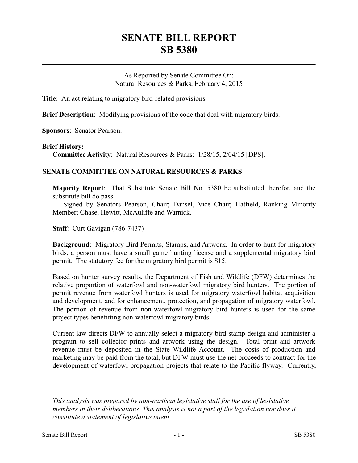## **SENATE BILL REPORT SB 5380**

As Reported by Senate Committee On: Natural Resources & Parks, February 4, 2015

**Title**: An act relating to migratory bird-related provisions.

**Brief Description**: Modifying provisions of the code that deal with migratory birds.

**Sponsors**: Senator Pearson.

## **Brief History:**

**Committee Activity**: Natural Resources & Parks: 1/28/15, 2/04/15 [DPS].

## **SENATE COMMITTEE ON NATURAL RESOURCES & PARKS**

**Majority Report**: That Substitute Senate Bill No. 5380 be substituted therefor, and the substitute bill do pass.

Signed by Senators Pearson, Chair; Dansel, Vice Chair; Hatfield, Ranking Minority Member; Chase, Hewitt, McAuliffe and Warnick.

**Staff**: Curt Gavigan (786-7437)

**Background**: Migratory Bird Permits, Stamps, and Artwork. In order to hunt for migratory birds, a person must have a small game hunting license and a supplemental migratory bird permit. The statutory fee for the migratory bird permit is \$15.

Based on hunter survey results, the Department of Fish and Wildlife (DFW) determines the relative proportion of waterfowl and non-waterfowl migratory bird hunters. The portion of permit revenue from waterfowl hunters is used for migratory waterfowl habitat acquisition and development, and for enhancement, protection, and propagation of migratory waterfowl. The portion of revenue from non-waterfowl migratory bird hunters is used for the same project types benefitting non-waterfowl migratory birds.

Current law directs DFW to annually select a migratory bird stamp design and administer a program to sell collector prints and artwork using the design. Total print and artwork revenue must be deposited in the State Wildlife Account. The costs of production and marketing may be paid from the total, but DFW must use the net proceeds to contract for the development of waterfowl propagation projects that relate to the Pacific flyway. Currently,

––––––––––––––––––––––

*This analysis was prepared by non-partisan legislative staff for the use of legislative members in their deliberations. This analysis is not a part of the legislation nor does it constitute a statement of legislative intent.*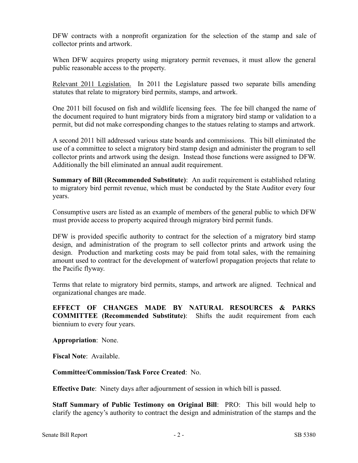DFW contracts with a nonprofit organization for the selection of the stamp and sale of collector prints and artwork.

When DFW acquires property using migratory permit revenues, it must allow the general public reasonable access to the property.

Relevant 2011 Legislation. In 2011 the Legislature passed two separate bills amending statutes that relate to migratory bird permits, stamps, and artwork.

One 2011 bill focused on fish and wildlife licensing fees. The fee bill changed the name of the document required to hunt migratory birds from a migratory bird stamp or validation to a permit, but did not make corresponding changes to the statues relating to stamps and artwork.

A second 2011 bill addressed various state boards and commissions. This bill eliminated the use of a committee to select a migratory bird stamp design and administer the program to sell collector prints and artwork using the design. Instead those functions were assigned to DFW. Additionally the bill eliminated an annual audit requirement.

**Summary of Bill (Recommended Substitute)**: An audit requirement is established relating to migratory bird permit revenue, which must be conducted by the State Auditor every four years.

Consumptive users are listed as an example of members of the general public to which DFW must provide access to property acquired through migratory bird permit funds.

DFW is provided specific authority to contract for the selection of a migratory bird stamp design, and administration of the program to sell collector prints and artwork using the design. Production and marketing costs may be paid from total sales, with the remaining amount used to contract for the development of waterfowl propagation projects that relate to the Pacific flyway.

Terms that relate to migratory bird permits, stamps, and artwork are aligned. Technical and organizational changes are made.

**EFFECT OF CHANGES MADE BY NATURAL RESOURCES & PARKS COMMITTEE (Recommended Substitute)**: Shifts the audit requirement from each biennium to every four years.

**Appropriation**: None.

**Fiscal Note**: Available.

**Committee/Commission/Task Force Created**: No.

**Effective Date**: Ninety days after adjournment of session in which bill is passed.

**Staff Summary of Public Testimony on Original Bill**: PRO: This bill would help to clarify the agency's authority to contract the design and administration of the stamps and the